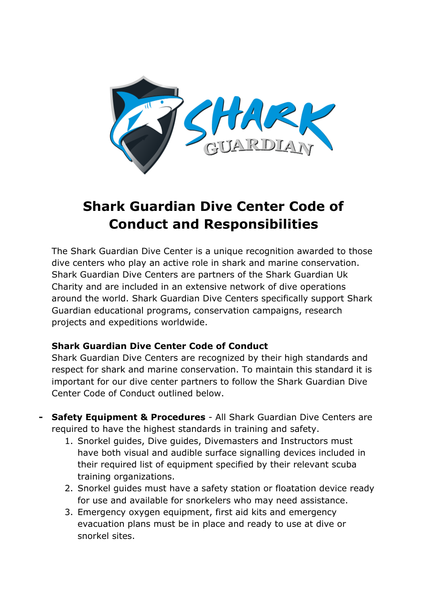

# **Shark Guardian Dive Center Code of Conduct and Responsibilities**

The Shark Guardian Dive Center is a unique recognition awarded to those dive centers who play an active role in shark and marine conservation. Shark Guardian Dive Centers are partners of the Shark Guardian Uk Charity and are included in an extensive network of dive operations around the world. Shark Guardian Dive Centers specifically support Shark Guardian educational programs, conservation campaigns, research projects and expeditions worldwide.

#### **Shark Guardian Dive Center Code of Conduct**

Shark Guardian Dive Centers are recognized by their high standards and respect for shark and marine conservation. To maintain this standard it is important for our dive center partners to follow the Shark Guardian Dive Center Code of Conduct outlined below.

- **- Safety Equipment & Procedures** All Shark Guardian Dive Centers are required to have the highest standards in training and safety.
	- 1. Snorkel guides, Dive guides, Divemasters and Instructors must have both visual and audible surface signalling devices included in their required list of equipment specified by their relevant scuba training organizations.
	- 2. Snorkel guides must have a safety station or floatation device ready for use and available for snorkelers who may need assistance.
	- 3. Emergency oxygen equipment, first aid kits and emergency evacuation plans must be in place and ready to use at dive or snorkel sites.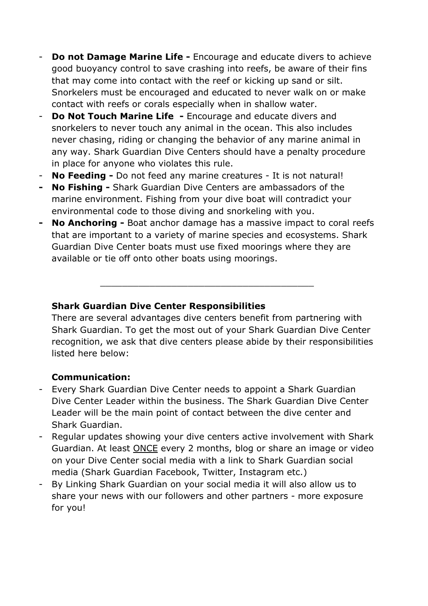- **Do not Damage Marine Life -** Encourage and educate divers to achieve good buoyancy control to save crashing into reefs, be aware of their fins that may come into contact with the reef or kicking up sand or silt. Snorkelers must be encouraged and educated to never walk on or make contact with reefs or corals especially when in shallow water.
- **Do Not Touch Marine Life -** Encourage and educate divers and snorkelers to never touch any animal in the ocean. This also includes never chasing, riding or changing the behavior of any marine animal in any way. Shark Guardian Dive Centers should have a penalty procedure in place for anyone who violates this rule.
- **No Feeding -** Do not feed any marine creatures It is not natural!
- **- No Fishing -** Shark Guardian Dive Centers are ambassadors of the marine environment. Fishing from your dive boat will contradict your environmental code to those diving and snorkeling with you.
- **- No Anchoring -** Boat anchor damage has a massive impact to coral reefs that are important to a variety of marine species and ecosystems. Shark Guardian Dive Center boats must use fixed moorings where they are available or tie off onto other boats using moorings.

\_\_\_\_\_\_\_\_\_\_\_\_\_\_\_\_\_\_\_\_\_\_\_\_\_\_\_\_\_\_\_\_\_\_\_\_\_\_\_

# **Shark Guardian Dive Center Responsibilities**

There are several advantages dive centers benefit from partnering with Shark Guardian. To get the most out of your Shark Guardian Dive Center recognition, we ask that dive centers please abide by their responsibilities listed here below:

# **Communication:**

- Every Shark Guardian Dive Center needs to appoint a Shark Guardian Dive Center Leader within the business. The Shark Guardian Dive Center Leader will be the main point of contact between the dive center and Shark Guardian.
- Regular updates showing your dive centers active involvement with Shark Guardian. At least ONCE every 2 months, blog or share an image or video on your Dive Center social media with a link to Shark Guardian social media (Shark Guardian Facebook, Twitter, Instagram etc.)
- By Linking Shark Guardian on your social media it will also allow us to share your news with our followers and other partners - more exposure for you!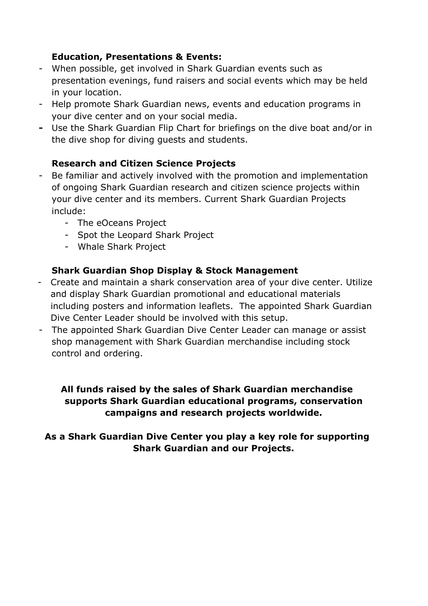# **Education, Presentations & Events:**

- When possible, get involved in Shark Guardian events such as presentation evenings, fund raisers and social events which may be held in your location.
- Help promote Shark Guardian news, events and education programs in your dive center and on your social media.
- **-** Use the Shark Guardian Flip Chart for briefings on the dive boat and/or in the dive shop for diving guests and students.

## **Research and Citizen Science Projects**

- Be familiar and actively involved with the promotion and implementation of ongoing Shark Guardian research and citizen science projects within your dive center and its members. Current Shark Guardian Projects include:
	- The eOceans Project
	- Spot the Leopard Shark Project
	- Whale Shark Project

## **Shark Guardian Shop Display & Stock Management**

- Create and maintain a shark conservation area of your dive center. Utilize and display Shark Guardian promotional and educational materials including posters and information leaflets. The appointed Shark Guardian Dive Center Leader should be involved with this setup.
- The appointed Shark Guardian Dive Center Leader can manage or assist shop management with Shark Guardian merchandise including stock control and ordering.

## **All funds raised by the sales of Shark Guardian merchandise supports Shark Guardian educational programs, conservation campaigns and research projects worldwide.**

# **As a Shark Guardian Dive Center you play a key role for supporting Shark Guardian and our Projects.**